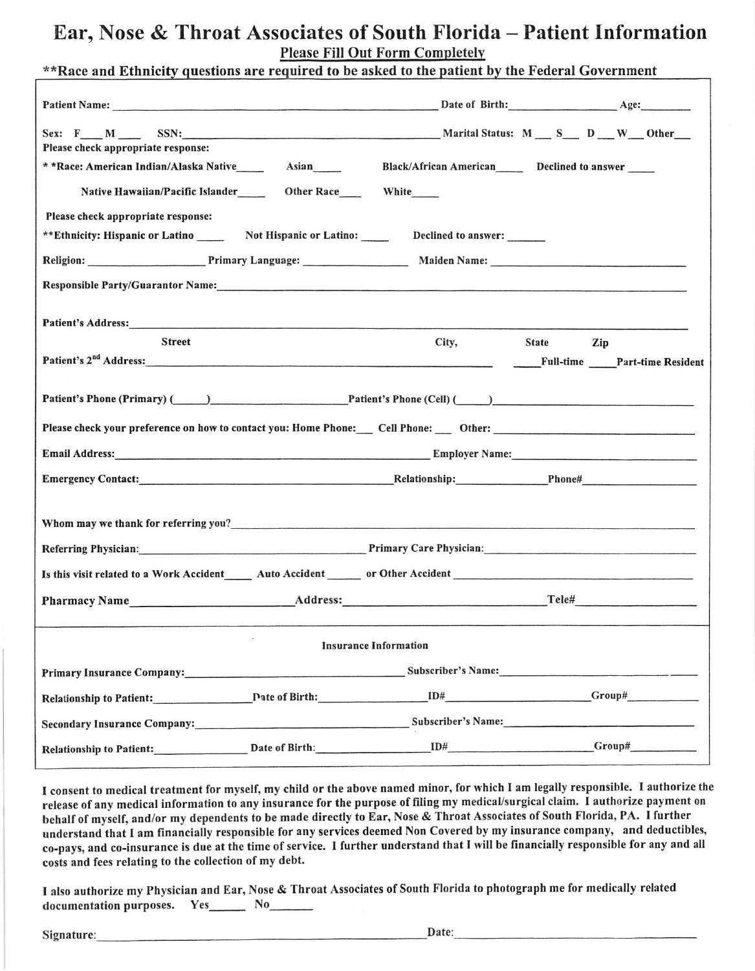# Ear, Nose & Throat Associates of South Florida - Patient Information **Please Fill Out Form Completely**

|                                                                                                                                                                                                                                | **Race and Ethnicity questions are required to be asked to the patient by the Federal Government |  |  |  |  |  |
|--------------------------------------------------------------------------------------------------------------------------------------------------------------------------------------------------------------------------------|--------------------------------------------------------------------------------------------------|--|--|--|--|--|
|                                                                                                                                                                                                                                |                                                                                                  |  |  |  |  |  |
|                                                                                                                                                                                                                                |                                                                                                  |  |  |  |  |  |
| Sex: F M SSN: SSN: SEX: Marital Status: M S D W Other<br>Please check appropriate response:                                                                                                                                    |                                                                                                  |  |  |  |  |  |
| * *Race: American Indian/Alaska Native__________ Asian______                                                                                                                                                                   | Black/African American_______ Declined to answer                                                 |  |  |  |  |  |
| Native Hawaiian/Pacific Islander ________ Other Race _______ White                                                                                                                                                             |                                                                                                  |  |  |  |  |  |
| Please check appropriate response:                                                                                                                                                                                             |                                                                                                  |  |  |  |  |  |
| **Ethnicity: Hispanic or Latino _______ Not Hispanic or Latino: ______ Declined to answer: ______                                                                                                                              |                                                                                                  |  |  |  |  |  |
|                                                                                                                                                                                                                                |                                                                                                  |  |  |  |  |  |
| Responsible Party/Guarantor Name: 1988. [19] Manufacturers: 1988. [19] Manufacturers: 1988. [19] Manufacturers: 1988. [19] Manufacturers: 1989. [19] Manufacturers: 1989. [19] Manufacturers: 1989. [19] Manufacturers: 1989.  |                                                                                                  |  |  |  |  |  |
|                                                                                                                                                                                                                                |                                                                                                  |  |  |  |  |  |
| Patient's Address: Management of the Address and Address and Address and Address and Address and Address and A                                                                                                                 |                                                                                                  |  |  |  |  |  |
| <b>Street</b>                                                                                                                                                                                                                  | City,<br>State Zip                                                                               |  |  |  |  |  |
| Patient's 2 <sup>nd</sup> Address: Part-time Resident                                                                                                                                                                          |                                                                                                  |  |  |  |  |  |
|                                                                                                                                                                                                                                |                                                                                                  |  |  |  |  |  |
| Patient's Phone (Primary) (Campbell Dente (Cell) (Call) (Call) (Call) (Call) (Call) (Call) (Call) (Call) (Call) (Call) (Call) (Call) (Call) (Call) (Call) (Call) (Call) (Call) (Call) (Call) (Call) (Call) (Call) (Call) (Call |                                                                                                  |  |  |  |  |  |
|                                                                                                                                                                                                                                |                                                                                                  |  |  |  |  |  |
|                                                                                                                                                                                                                                |                                                                                                  |  |  |  |  |  |
|                                                                                                                                                                                                                                |                                                                                                  |  |  |  |  |  |
|                                                                                                                                                                                                                                |                                                                                                  |  |  |  |  |  |
|                                                                                                                                                                                                                                |                                                                                                  |  |  |  |  |  |
|                                                                                                                                                                                                                                |                                                                                                  |  |  |  |  |  |
| Referring Physician: The Capital Community Care Physician: Primary Care Physician:                                                                                                                                             |                                                                                                  |  |  |  |  |  |
|                                                                                                                                                                                                                                |                                                                                                  |  |  |  |  |  |
| Pharmacy Name Address: Address: Tele# Tele# Telexandress: Address: Telexandress: Telexandress: Telexandress: Telexandress: Telexandress: Telexandress: Telexandress: Telexandress: Telexandress: Telexandress: Telexandress: T |                                                                                                  |  |  |  |  |  |
|                                                                                                                                                                                                                                |                                                                                                  |  |  |  |  |  |
| <b>Insurance Information</b>                                                                                                                                                                                                   |                                                                                                  |  |  |  |  |  |
|                                                                                                                                                                                                                                |                                                                                                  |  |  |  |  |  |
|                                                                                                                                                                                                                                |                                                                                                  |  |  |  |  |  |
| Secondary Insurance Company: Subscriber's Name: Subscriber's Name:                                                                                                                                                             |                                                                                                  |  |  |  |  |  |

I consent to medical treatment for myself, my child or the above named minor, for which I am legally responsible. I authorize the release of any medical information to any insurance for the purpose of filing my medical/surgical claim. I authorize payment on behalf of myself, and/or my dependents to be made directly to Ear, Nose & Throat Associates of South Florida, PA. I further understand that I am financially responsible for any services deemed Non Covered by my insurance company, and deductibles, co-pays, and co-insurance is due at the time of service. I further understand that I will be financially responsible for any and all costs and fees relating to the collection of my debt.

I also authorize my Physician and Ear, Nose & Throat Associates of South Florida to photograph me for medically related documentation purposes. Yes\_\_\_\_\_\_\_ No\_\_\_\_\_\_\_

Signature: